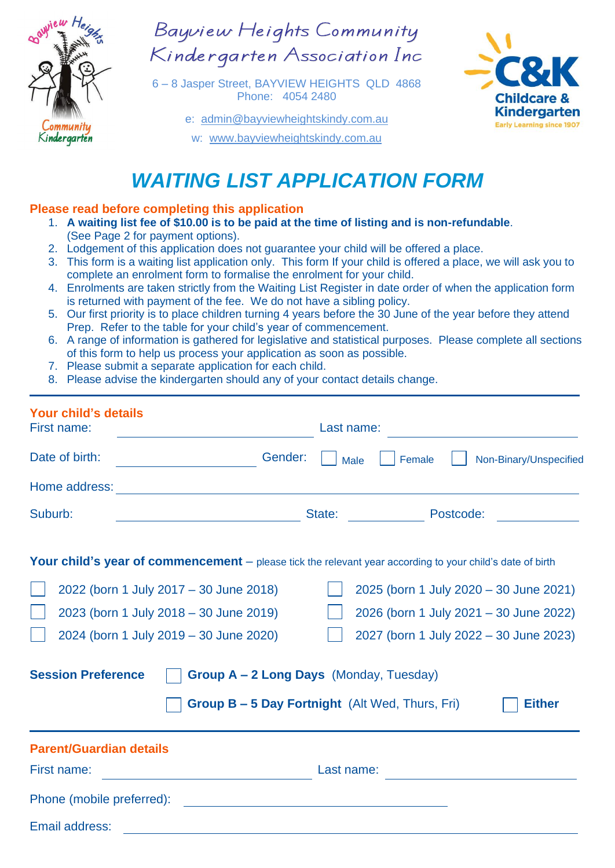

Bayview Heights Community Kindergarten Association Inc

6 – 8 Jasper Street, BAYVIEW HEIGHTS QLD 4868 Phone: 4054 2480

e: [admin@bayviewheightskindy.com.au](mailto:admin@bayviewheightskindy.com.au)

w: [www.bayviewheightskindy.com.au](http://www.bayviewheightskindy.com.au/)



## *WAITING LIST APPLICATION FORM*

## **Please read before completing this application**

- 1. **A waiting list fee of \$10.00 is to be paid at the time of listing and is non-refundable**. (See Page 2 for payment options).
- 2. Lodgement of this application does not guarantee your child will be offered a place.
- 3. This form is a waiting list application only. This form If your child is offered a place, we will ask you to complete an enrolment form to formalise the enrolment for your child.
- 4. Enrolments are taken strictly from the Waiting List Register in date order of when the application form is returned with payment of the fee. We do not have a sibling policy.
- 5. Our first priority is to place children turning 4 years before the 30 June of the year before they attend Prep. Refer to the table for your child's year of commencement.
- 6. A range of information is gathered for legislative and statistical purposes. Please complete all sections of this form to help us process your application as soon as possible.
- 7. Please submit a separate application for each child.
- 8. Please advise the kindergarten should any of your contact details change.

| <b>Your child's details</b><br>First name:                                                                                                                                                                                                                                                                                                                                                                                                    |                                                                                                                       | Last name:                                      |  |
|-----------------------------------------------------------------------------------------------------------------------------------------------------------------------------------------------------------------------------------------------------------------------------------------------------------------------------------------------------------------------------------------------------------------------------------------------|-----------------------------------------------------------------------------------------------------------------------|-------------------------------------------------|--|
| Date of birth:                                                                                                                                                                                                                                                                                                                                                                                                                                | Gender:                                                                                                               | Non-Binary/Unspecified<br>Female<br><b>Male</b> |  |
| Home address:                                                                                                                                                                                                                                                                                                                                                                                                                                 | <u> 1989 - Johann Stoff, deutscher Stoffen und der Stoffen und der Stoffen und der Stoffen und der Stoffen und de</u> |                                                 |  |
| Suburb:<br><u> 1989 - Johann Barnett, fransk politiker (</u>                                                                                                                                                                                                                                                                                                                                                                                  |                                                                                                                       | Postcode:<br>State: <b>State: State:</b>        |  |
| Your child's year of commencement - please tick the relevant year according to your child's date of birth<br>2022 (born 1 July 2017 - 30 June 2018)<br>2025 (born 1 July 2020 - 30 June 2021)<br>2023 (born 1 July 2018 - 30 June 2019)<br>2026 (born 1 July 2021 - 30 June 2022)<br>2024 (born 1 July 2019 - 30 June 2020)<br>2027 (born 1 July 2022 - 30 June 2023)<br><b>Session Preference</b><br>Group A - 2 Long Days (Monday, Tuesday) |                                                                                                                       |                                                 |  |
| <b>Group B – 5 Day Fortnight</b> (Alt Wed, Thurs, Fri)<br><b>Either</b>                                                                                                                                                                                                                                                                                                                                                                       |                                                                                                                       |                                                 |  |
| <b>Parent/Guardian details</b>                                                                                                                                                                                                                                                                                                                                                                                                                |                                                                                                                       |                                                 |  |
| First name:<br><u> 1980 - Johann Barn, mars an t-Amerikaansk kommunister (</u>                                                                                                                                                                                                                                                                                                                                                                | Last name:                                                                                                            |                                                 |  |
|                                                                                                                                                                                                                                                                                                                                                                                                                                               |                                                                                                                       |                                                 |  |
| Email address:                                                                                                                                                                                                                                                                                                                                                                                                                                |                                                                                                                       |                                                 |  |